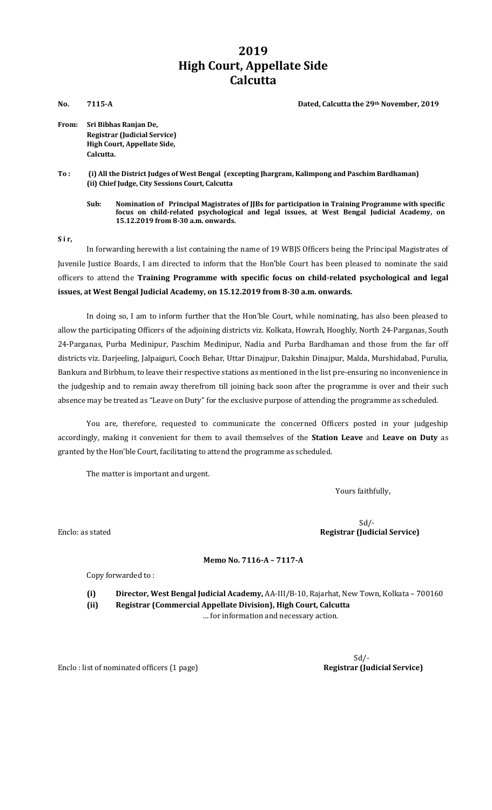## **2019 High Court, Appellate Side Calcutta**

**No. 7115-A Dated, Calcutta the 29th November, 2019**

**From: Sri Bibhas Ranjan De, Registrar (Judicial Service) High Court, Appellate Side, Calcutta.**

**To : (i) All the District Judges of West Bengal (excepting Jhargram, Kalimpong and Paschim Bardhaman) (ii) Chief Judge, City Sessions Court, Calcutta**

**Sub: Nomination of Principal Magistrates of JJBs for participation in Training Programme with specific focus on child-related psychological and legal issues, at West Bengal Judicial Academy, on 15.12.2019 from 8-30 a.m. onwards.**

**S i r,**

In forwarding herewith a list containing the name of 19 WBJS Officers being the Principal Magistrates of Juvenile Justice Boards, I am directed to inform that the Hon'ble Court has been pleased to nominate the said officers to attend the **Training Programme with specific focus on child-related psychological and legal issues, at West Bengal Judicial Academy, on 15.12.2019 from 8-30 a.m. onwards.**

In doing so, I am to inform further that the Hon'ble Court, while nominating, has also been pleased to allow the participating Officers of the adjoining districts viz. Kolkata, Howrah, Hooghly, North 24-Parganas, South 24-Parganas, Purba Medinipur, Paschim Medinipur, Nadia and Purba Bardhaman and those from the far off districts viz. Darjeeling, Jalpaiguri, Cooch Behar, Uttar Dinajpur, Dakshin Dinajpur, Malda, Murshidabad, Purulia, Bankura and Birbhum, to leave their respective stations as mentioned in the list pre-ensuring no inconvenience in the judgeship and to remain away therefrom till joining back soon after the programme is over and their such absence may be treated as "Leave on Duty" for the exclusive purpose of attending the programme as scheduled.

You are, therefore, requested to communicate the concerned Officers posted in your judgeship accordingly, making it convenient for them to avail themselves of the **Station Leave** and **Leave on Duty** as granted by the Hon'ble Court, facilitating to attend the programme as scheduled.

The matter is important and urgent.

Yours faithfully,

 Sd/- Enclo: as stated **Registrar (Judicial Service)** 

**Memo No. 7116-A – 7117-A**

Copy forwarded to :

**(i) Director, West Bengal Judicial Academy,** AA-III/B-10, Rajarhat, New Town, Kolkata – 700160 **(ii) Registrar (Commercial Appellate Division), High Court, Calcutta**

… for information and necessary action.

Enclo : list of nominated officers (1 page)

Sd/-<br>**Registrar (Judicial Service)**